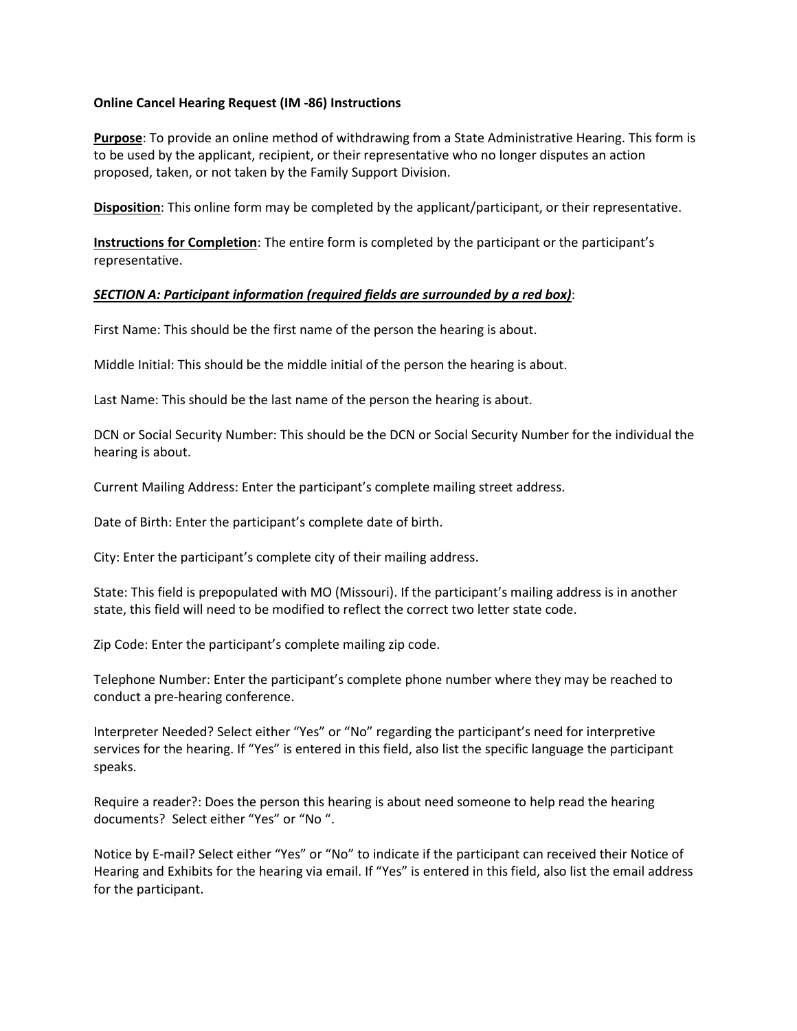## **Online Cancel Hearing Request (IM -86) Instructions**

**Purpose**: To provide an online method of withdrawing from a State Administrative Hearing. This form is to be used by the applicant, recipient, or their representative who no longer disputes an action proposed, taken, or not taken by the Family Support Division.

**Disposition**: This online form may be completed by the applicant/participant, or their representative.

**Instructions for Completion**: The entire form is completed by the participant or the participant's representative.

## *SECTION A: Participant information (required fields are surrounded by a red box)*:

First Name: This should be the first name of the person the hearing is about.

Middle Initial: This should be the middle initial of the person the hearing is about.

Last Name: This should be the last name of the person the hearing is about.

DCN or Social Security Number: This should be the DCN or Social Security Number for the individual the hearing is about.

Current Mailing Address: Enter the participant's complete mailing street address.

Date of Birth: Enter the participant's complete date of birth.

City: Enter the participant's complete city of their mailing address.

State: This field is prepopulated with MO (Missouri). If the participant's mailing address is in another state, this field will need to be modified to reflect the correct two letter state code.

Zip Code: Enter the participant's complete mailing zip code.

Telephone Number: Enter the participant's complete phone number where they may be reached to conduct a pre-hearing conference.

Interpreter Needed? Select either "Yes" or "No" regarding the participant's need for interpretive services for the hearing. If "Yes" is entered in this field, also list the specific language the participant speaks.

Require a reader?: Does the person this hearing is about need someone to help read the hearing documents? Select either "Yes" or "No ".

Notice by E-mail? Select either "Yes" or "No" to indicate if the participant can received their Notice of Hearing and Exhibits for the hearing via email. If "Yes" is entered in this field, also list the email address for the participant.